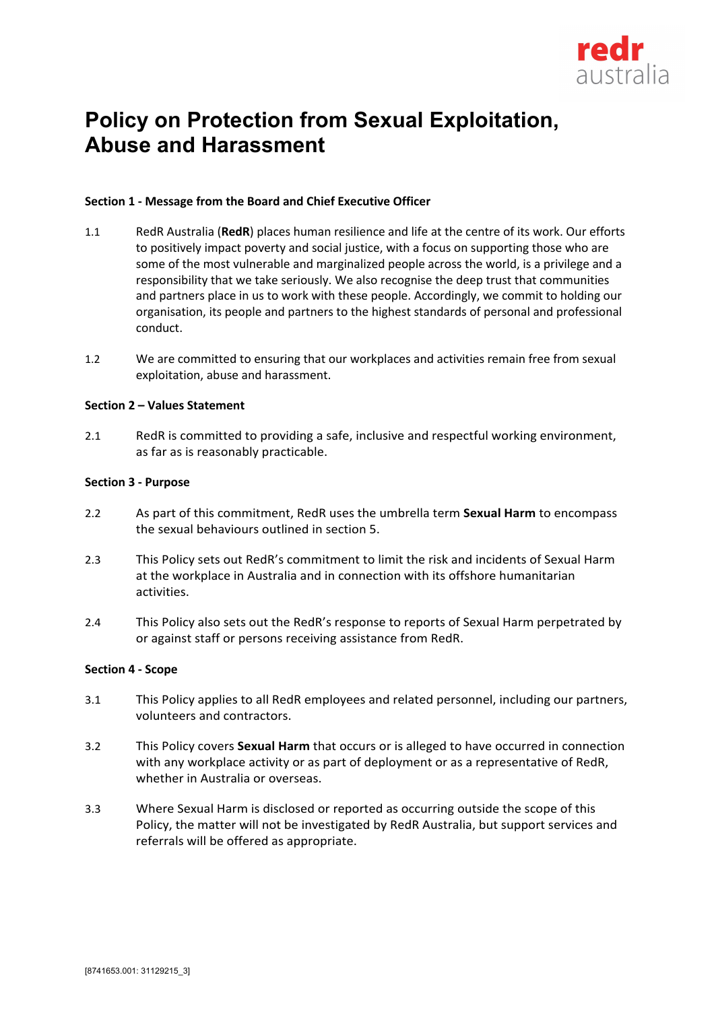

# **Policy on Protection from Sexual Exploitation, Abuse and Harassment**

# **Section 1 - Message from the Board and Chief Executive Officer**

- 1.1 RedR Australia (**RedR**) places human resilience and life at the centre of its work. Our efforts to positively impact poverty and social justice, with a focus on supporting those who are some of the most vulnerable and marginalized people across the world, is a privilege and a responsibility that we take seriously. We also recognise the deep trust that communities and partners place in us to work with these people. Accordingly, we commit to holding our organisation, its people and partners to the highest standards of personal and professional conduct.
- 1.2 We are committed to ensuring that our workplaces and activities remain free from sexual exploitation, abuse and harassment.

## **Section 2 – Values Statement**

2.1 RedR is committed to providing a safe, inclusive and respectful working environment, as far as is reasonably practicable.

## **Section 3 - Purpose**

- 2.2 As part of this commitment, RedR uses the umbrella term **Sexual Harm** to encompass the sexual behaviours outlined in section 5.
- 2.3 This Policy sets out RedR's commitment to limit the risk and incidents of Sexual Harm at the workplace in Australia and in connection with its offshore humanitarian activities.
- 2.4 This Policy also sets out the RedR's response to reports of Sexual Harm perpetrated by or against staff or persons receiving assistance from RedR.

#### **Section 4 - Scope**

- 3.1 This Policy applies to all RedR employees and related personnel, including our partners, volunteers and contractors.
- 3.2 This Policy covers **Sexual Harm** that occurs or is alleged to have occurred in connection with any workplace activity or as part of deployment or as a representative of RedR, whether in Australia or overseas.
- 3.3 Where Sexual Harm is disclosed or reported as occurring outside the scope of this Policy, the matter will not be investigated by RedR Australia, but support services and referrals will be offered as appropriate.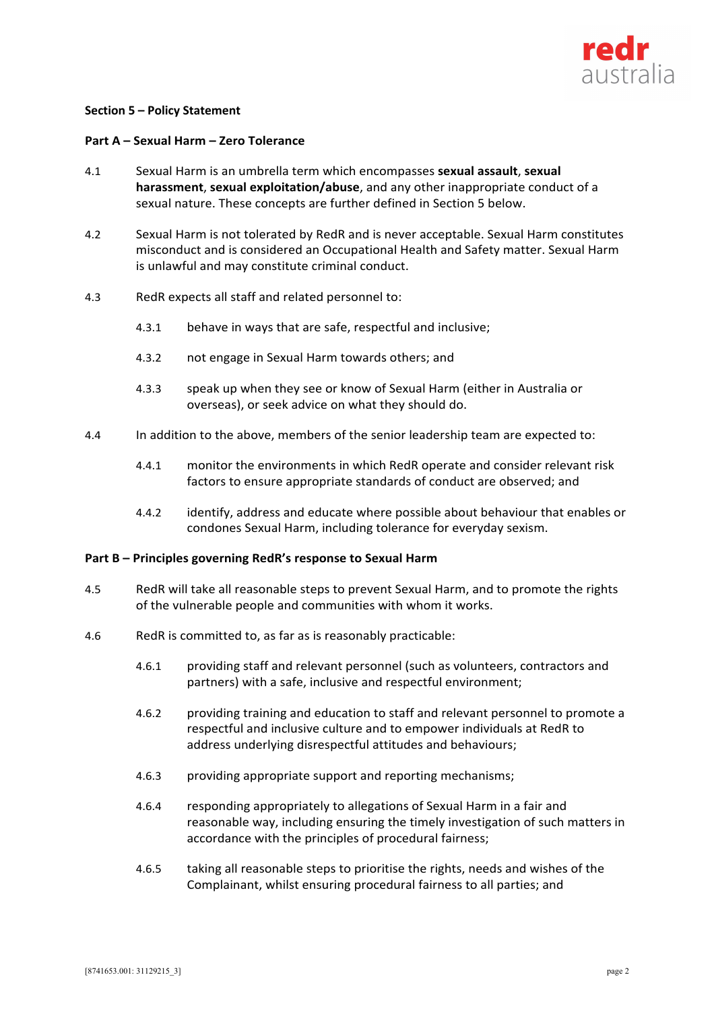

## **Section 5 – Policy Statement**

## **Part A – Sexual Harm – Zero Tolerance**

- 4.1 Sexual Harm is an umbrella term which encompasses **sexual assault**, **sexual harassment**, **sexual exploitation/abuse**, and any other inappropriate conduct of a sexual nature. These concepts are further defined in Section 5 below.
- 4.2 Sexual Harm is not tolerated by RedR and is never acceptable. Sexual Harm constitutes misconduct and is considered an Occupational Health and Safety matter. Sexual Harm is unlawful and may constitute criminal conduct.
- 4.3 RedR expects all staff and related personnel to:
	- 4.3.1 behave in ways that are safe, respectful and inclusive;
	- 4.3.2 not engage in Sexual Harm towards others; and
	- 4.3.3 speak up when they see or know of Sexual Harm (either in Australia or overseas), or seek advice on what they should do.
- 4.4 In addition to the above, members of the senior leadership team are expected to:
	- 4.4.1 monitor the environments in which RedR operate and consider relevant risk factors to ensure appropriate standards of conduct are observed; and
	- 4.4.2 identify, address and educate where possible about behaviour that enables or condones Sexual Harm, including tolerance for everyday sexism.

#### **Part B – Principles governing RedR's response to Sexual Harm**

- 4.5 RedR will take all reasonable steps to prevent Sexual Harm, and to promote the rights of the vulnerable people and communities with whom it works.
- 4.6 RedR is committed to, as far as is reasonably practicable:
	- 4.6.1 providing staff and relevant personnel (such as volunteers, contractors and partners) with a safe, inclusive and respectful environment;
	- 4.6.2 providing training and education to staff and relevant personnel to promote a respectful and inclusive culture and to empower individuals at RedR to address underlying disrespectful attitudes and behaviours;
	- 4.6.3 providing appropriate support and reporting mechanisms;
	- 4.6.4 responding appropriately to allegations of Sexual Harm in a fair and reasonable way, including ensuring the timely investigation of such matters in accordance with the principles of procedural fairness;
	- 4.6.5 taking all reasonable steps to prioritise the rights, needs and wishes of the Complainant, whilst ensuring procedural fairness to all parties; and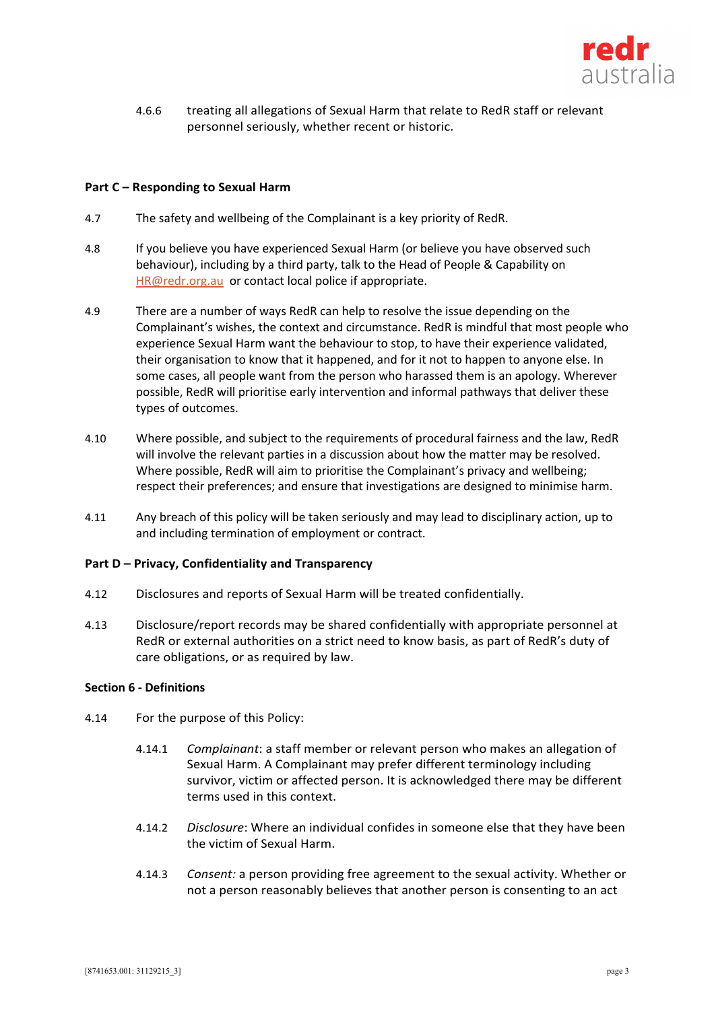

4.6.6 treating all allegations of Sexual Harm that relate to RedR staff or relevant personnel seriously, whether recent or historic.

# **Part C – Responding to Sexual Harm**

- 4.7 The safety and wellbeing of the Complainant is a key priority of RedR.
- 4.8 If you believe you have experienced Sexual Harm (or believe you have observed such behaviour), including by a third party, talk to the Head of People & Capability on HR@redr.org.au or contact local police if appropriate.
- 4.9 There are a number of ways RedR can help to resolve the issue depending on the Complainant's wishes, the context and circumstance. RedR is mindful that most people who experience Sexual Harm want the behaviour to stop, to have their experience validated, their organisation to know that it happened, and for it not to happen to anyone else. In some cases, all people want from the person who harassed them is an apology. Wherever possible, RedR will prioritise early intervention and informal pathways that deliver these types of outcomes.
- 4.10 Where possible, and subject to the requirements of procedural fairness and the law, RedR will involve the relevant parties in a discussion about how the matter may be resolved. Where possible, RedR will aim to prioritise the Complainant's privacy and wellbeing; respect their preferences; and ensure that investigations are designed to minimise harm.
- 4.11 Any breach of this policy will be taken seriously and may lead to disciplinary action, up to and including termination of employment or contract.

#### **Part D – Privacy, Confidentiality and Transparency**

- 4.12 Disclosures and reports of Sexual Harm will be treated confidentially.
- 4.13 Disclosure/report records may be shared confidentially with appropriate personnel at RedR or external authorities on a strict need to know basis, as part of RedR's duty of care obligations, or as required by law.

# **Section 6 - Definitions**

- 4.14 For the purpose of this Policy:
	- 4.14.1 *Complainant*: a staff member or relevant person who makes an allegation of Sexual Harm. A Complainant may prefer different terminology including survivor, victim or affected person. It is acknowledged there may be different terms used in this context.
	- 4.14.2 *Disclosure*: Where an individual confides in someone else that they have been the victim of Sexual Harm.
	- 4.14.3 *Consent:* a person providing free agreement to the sexual activity. Whether or not a person reasonably believes that another person is consenting to an act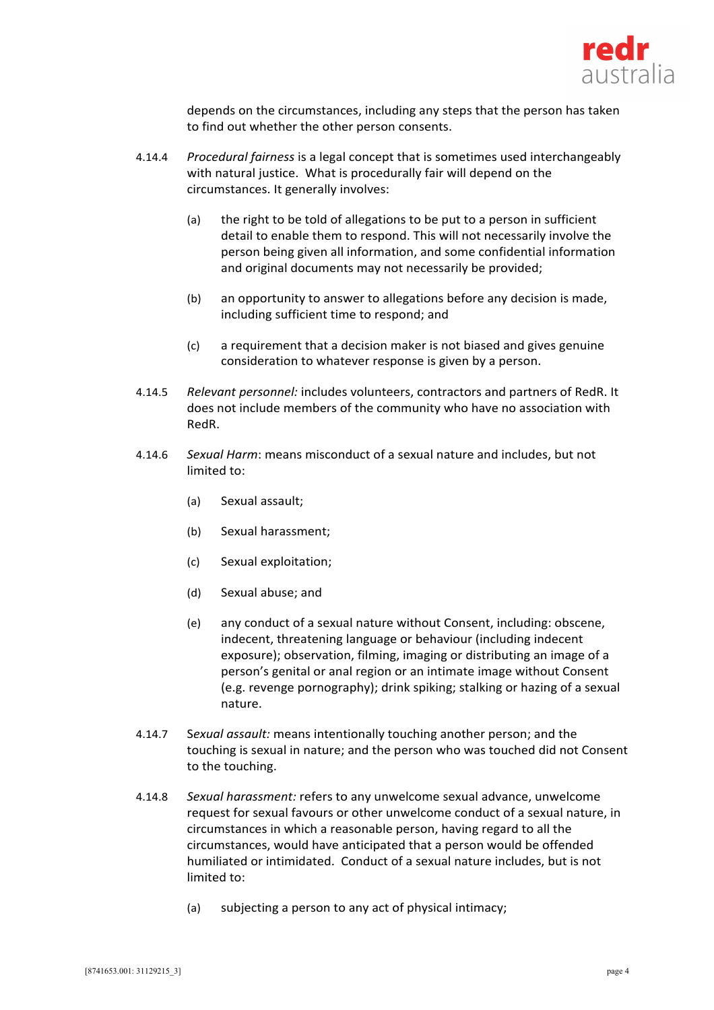

depends on the circumstances, including any steps that the person has taken to find out whether the other person consents.

- 4.14.4 *Procedural fairness* is a legal concept that is sometimes used interchangeably with natural justice. What is procedurally fair will depend on the circumstances. It generally involves:
	- (a) the right to be told of allegations to be put to a person in sufficient detail to enable them to respond. This will not necessarily involve the person being given all information, and some confidential information and original documents may not necessarily be provided;
	- (b) an opportunity to answer to allegations before any decision is made, including sufficient time to respond; and
	- (c) a requirement that a decision maker is not biased and gives genuine consideration to whatever response is given by a person.
- 4.14.5 *Relevant personnel:* includes volunteers, contractors and partners of RedR. It does not include members of the community who have no association with RedR.
- 4.14.6 *Sexual Harm*: means misconduct of a sexual nature and includes, but not limited to:
	- (a) Sexual assault;
	- (b) Sexual harassment;
	- (c) Sexual exploitation;
	- (d) Sexual abuse; and
	- (e) any conduct of a sexual nature without Consent, including: obscene, indecent, threatening language or behaviour (including indecent exposure); observation, filming, imaging or distributing an image of a person's genital or anal region or an intimate image without Consent (e.g. revenge pornography); drink spiking; stalking or hazing of a sexual nature.
- 4.14.7 S*exual assault:* means intentionally touching another person; and the touching is sexual in nature; and the person who was touched did not Consent to the touching.
- 4.14.8 *Sexual harassment:* refers to any unwelcome sexual advance, unwelcome request for sexual favours or other unwelcome conduct of a sexual nature, in circumstances in which a reasonable person, having regard to all the circumstances, would have anticipated that a person would be offended humiliated or intimidated. Conduct of a sexual nature includes, but is not limited to:
	- (a) subjecting a person to any act of physical intimacy;